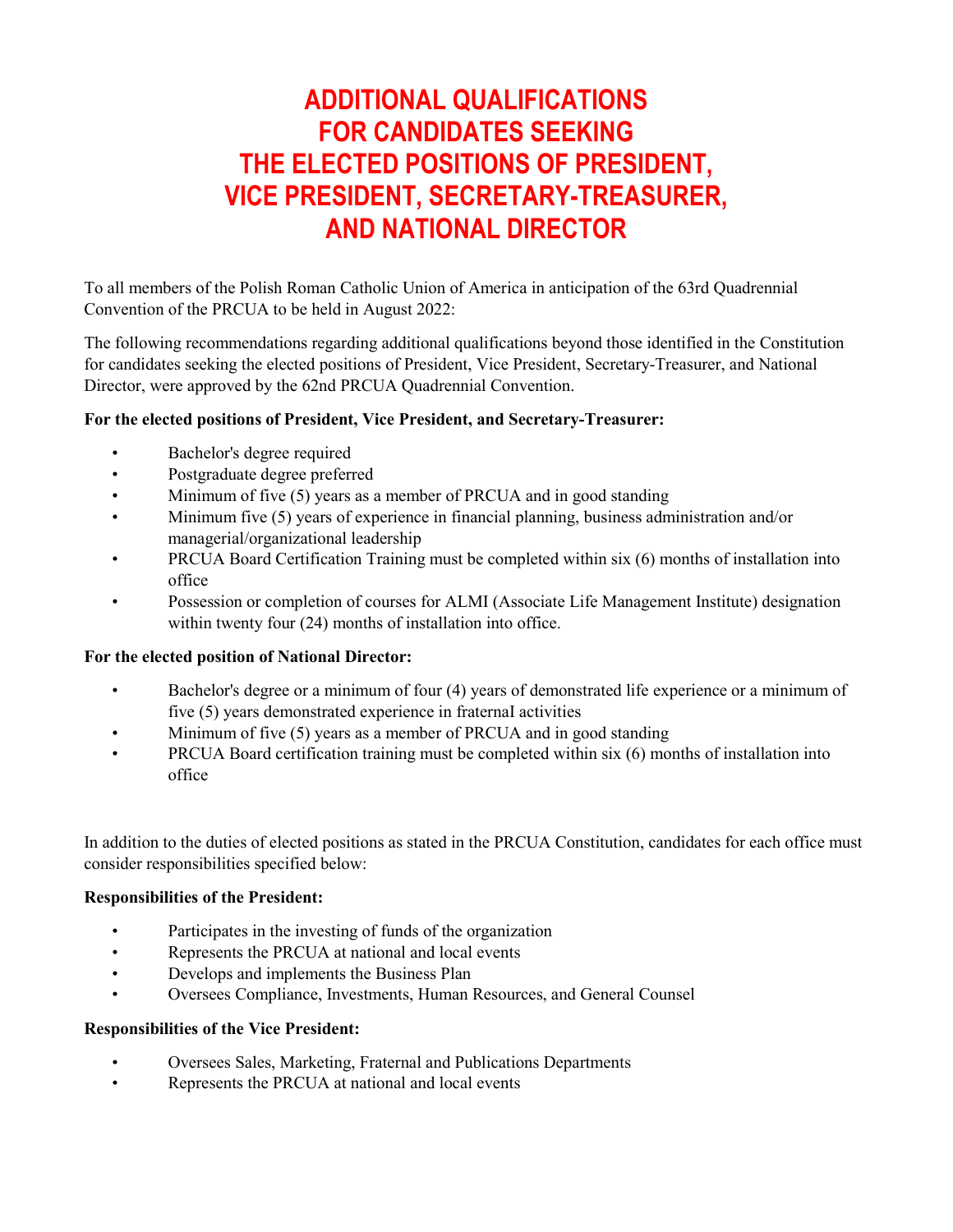# **ADDITIONAL QUALIFICATIONS FOR CANDIDATES SEEKING THE ELECTED POSITIONS OF PRESIDENT, VICE PRESIDENT, SECRETARY-TREASURER, AND NATIONAL DIRECTOR**

To all members of the Polish Roman Catholic Union of America in anticipation of the 63rd Quadrennial Convention of the PRCUA to be held in August 2022:

The following recommendations regarding additional qualifications beyond those identified in the Constitution for candidates seeking the elected positions of President, Vice President, Secretary-Treasurer, and National Director, were approved by the 62nd PRCUA Quadrennial Convention.

# **For the elected positions of President, Vice President, and Secretary-Treasurer:**

- Bachelor's degree required
- Postgraduate degree preferred
- Minimum of five (5) years as a member of PRCUA and in good standing
- Minimum five (5) years of experience in financial planning, business administration and/or managerial/organizational leadership
- PRCUA Board Certification Training must be completed within six (6) months of installation into office
- Possession or completion of courses for ALMI (Associate Life Management Institute) designation within twenty four (24) months of installation into office.

## **For the elected position of National Director:**

- Bachelor's degree or a minimum of four (4) years of demonstrated life experience or a minimum of five (5) years demonstrated experience in fraternaI activities
- Minimum of five (5) years as a member of PRCUA and in good standing
- PRCUA Board certification training must be completed within six (6) months of installation into office

In addition to the duties of elected positions as stated in the PRCUA Constitution, candidates for each office must consider responsibilities specified below:

## **Responsibilities of the President:**

- Participates in the investing of funds of the organization
- Represents the PRCUA at national and local events
- Develops and implements the Business Plan
- Oversees Compliance, Investments, Human Resources, and General Counsel

#### **Responsibilities of the Vice President:**

- Oversees Sales, Marketing, Fraternal and Publications Departments
- Represents the PRCUA at national and local events